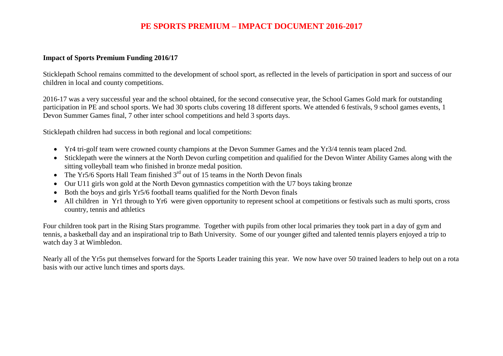## **PE SPORTS PREMIUM – IMPACT DOCUMENT 2016-2017**

## **Impact of Sports Premium Funding 2016/17**

Sticklepath School remains committed to the development of school sport, as reflected in the levels of participation in sport and success of our children in local and county competitions.

2016-17 was a very successful year and the school obtained, for the second consecutive year, the School Games Gold mark for outstanding participation in PE and school sports. We had 30 sports clubs covering 18 different sports. We attended 6 festivals, 9 school games events, 1 Devon Summer Games final, 7 other inter school competitions and held 3 sports days.

Sticklepath children had success in both regional and local competitions:

- Yr4 tri-golf team were crowned county champions at the Devon Summer Games and the Yr3/4 tennis team placed 2nd.
- Sticklepath were the winners at the North Devon curling competition and qualified for the Devon Winter Ability Games along with the sitting volleyball team who finished in bronze medal position.
- The Yr5/6 Sports Hall Team finished  $3<sup>rd</sup>$  out of 15 teams in the North Devon finals
- Our U11 girls won gold at the North Devon gymnastics competition with the U7 boys taking bronze
- Both the boys and girls Yr5/6 football teams qualified for the North Devon finals
- All children in Yr1 through to Yr6 were given opportunity to represent school at competitions or festivals such as multi sports, cross country, tennis and athletics

Four children took part in the Rising Stars programme. Together with pupils from other local primaries they took part in a day of gym and tennis, a basketball day and an inspirational trip to Bath University. Some of our younger gifted and talented tennis players enjoyed a trip to watch day 3 at Wimbledon.

Nearly all of the Yr5s put themselves forward for the Sports Leader training this year. We now have over 50 trained leaders to help out on a rota basis with our active lunch times and sports days.